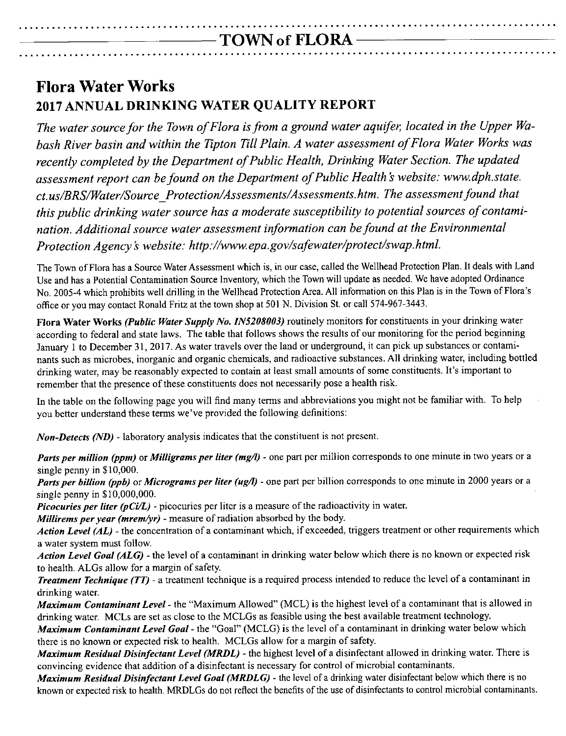### **.................................................................................................** -TOWN of FLORA-**.................................................................................................**

## **Flora Water Works 2017 ANNUAL DRINKING WATER QUALITY REPORT**

*The water source for the Town of Flora isfrom a ground water aquifer, located in the Upper Wabash River basin and within the Tipton Till Plain. A water assessment of Flora Water Works was recently completed by the Department of Public Health, Drinking Water Section. The updated assessment report can befound on the Department of Public Health* s *website: [www.dph.state.](http://www.dph.state.) ct.us/BRS/Water/Source \_Protection/ Assessments/Assessments. htm. The assessment found that this public drinking water source has a moderate susceptibility to potential sources of contamination. Additional source water assessment information can befound at the Environmental Protection Agency* s *website: <http://www.epa.gov/safewater/protect/swap.html.>*

The Town of Flora has a Source Water Assessment which is, in our case, called the Wellhead Protection Plan. It deals with Land Use and has a Potential Contamination Source Inventory, which the Town will update as needed. We have adopted Ordinance No. 2005-4 which prohibits well drilling in the Wellhead Protection Area. All information on this Plan is in the Town of Flora's office or you may contact Ronald Fritz at the town shop at 501 N. Division St. or call 574-967-3443.

Flora Water Works *(Public Water Supply No. IN5208003)* routinely monitors for constituents in your drinking water according to federal and state laws. The table that follows shows the results of our monitoring for the period beginning January I to December 31, 2017. As water travels over the land or underground, it can pick up substances or contaminants such as microbes, inorganic and organic chemicals, and radioactive substances. All drinking water, including bottled drinking water, may be reasonably expected to contain at least small amounts of some constituents. It's important to remember that the presence of these constituents does not necessarily pose a health risk.

In the table on the following page you will find many terms and abbreviations you might not be familiar with. To help you better understand these terms we've provided the following definitions:

*Non-Detects (ND)* - laboratory analysis indicates that the constituent is not present.

*Parts per million* (*ppm*) or *Milligrams per liter* (*mg/l*) - one part per million corresponds to one minute in two years or a single penny in \$10,000.

*Parts per billion (ppb)* or *Micrograms per liter (ug/l)* - one part per billion corresponds to one minute in 2000 years or a single penny in \$10,000,000.

*Picocuries per liter (pCi/L)* - picocuries per liter is a measure of the radioactivity in water.

*Millirems per year (mrem/yr) -* measure of radiation absorbed by the body.

*Action Level (AL) -* the concentration of a contaminant which, if exceeded, triggers treatment or other requirements which a water system must follow.

*Action Level Goal (ALG) -* the level of a contaminant in drinking water below whicb there is no known or expected risk to health. ALGs allow for a margin of safety.

*Treatment Technique (TT) -* a treatment technique is a required process intended to reduce the level of a contaminant in drinking water.

*Maximum Contaminant Level -* the "Maximum Allowed" (MCL) is the highest level of a contaminant that is allowed in drinking water. MCLs are set as close to the MCLGs as feasible using the best available treatment technology.

*Maximum Contaminant Level Goal -* the "Goal" (MCLG) is the level of a contaminant in drinking water below which there is no known or expected risk to health. MCLGs allow for a margin of safety.

*Maximum Residual Disinfectant Level (MRDL) -* the highest level of a disinfectant allowed in drinking water. There is convincing evidence that addition of a disinfectant is necessary for control of microbial contaminants.

*Maximum Residual Disinfectant Level Goal (MRDLG) -* the level of a drinking water disinfectant below which there is no known or expected risk to health. MRDLGs do not reflect the benefits of the use of disinfectants to control microbial contaminants.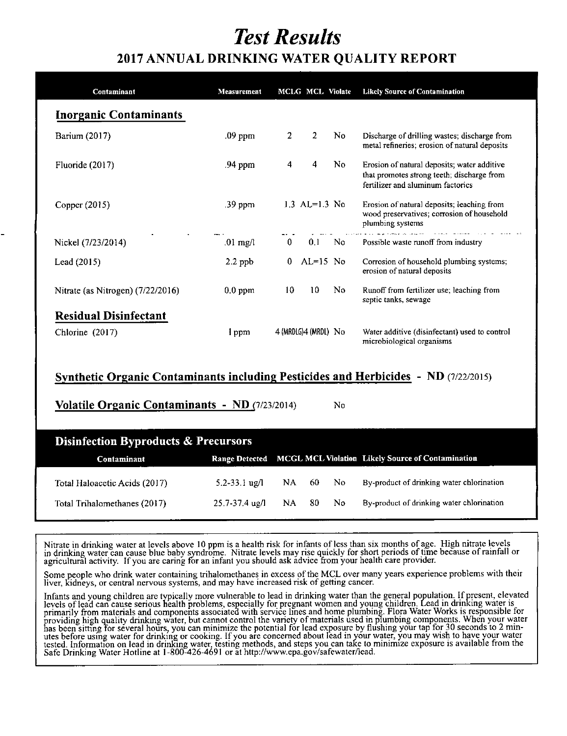# *Test Results*

## **2017 ANNUAL DRINKING WATER QUALITY REPORT**

| Contaminant                         | Measurement | <b>MCLG MCL Violate</b> |                | <b>Likely Source of Contamination</b>                                                                                          |
|-------------------------------------|-------------|-------------------------|----------------|--------------------------------------------------------------------------------------------------------------------------------|
| <b>Inorganic Contaminants</b>       |             |                         |                |                                                                                                                                |
| Barium (2017)                       | .09 ppm     | 2<br>2                  | No.            | Discharge of drilling wastes; discharge from<br>metal refineries; erosion of natural deposits                                  |
| Fluoride $(2017)$                   | .94 ppm     | 4<br>4                  | No.            | Erosion of natural deposits; water additive<br>that promotes strong teeth; discharge from<br>fertilizer and aluminum factories |
| Copper (2015)                       | .39 ppm     | 1.3 $AL=1.3$ No         |                | Erosion of natural deposits; leaching from<br>wood preservatives; corrosion of household<br>plumbing systems                   |
| Nickel (7/23/2014)                  | $.01$ mg/l  | $\mathbf{0}$<br>0.1     | No             | complete management of the complete<br>Possible waste runoff from industry                                                     |
| Lead (2015)                         | $2.2$ ppb   | $AL=15$ No<br>0         |                | Corrosion of household plumbing systems;<br>erosion of natural deposits                                                        |
| Nitrate (as Nitrogen) $(7/22/2016)$ | $0.0$ ppm   | 10<br>10                | N <sub>0</sub> | Runoff from fertilizer use; leaching from<br>septic tanks, sewage                                                              |
| <b>Residual Disinfectant</b>        |             |                         |                |                                                                                                                                |
| Chlorine $(2017)$                   | l ppm       | 4 (MRDLG)4 (MRDL) No    |                | Water additive (disinfectant) used to control<br>microbiological organisms                                                     |

#### **Svnthetic Organic Contaminants including Pesticides and Herbicides - ND** (7122/2015)

**Volatile Organic Contaminants - ND** (7/23/2014)

| Disinfection Byproducts & Precursors |                    |       |              |     |                                                                  |  |  |
|--------------------------------------|--------------------|-------|--------------|-----|------------------------------------------------------------------|--|--|
| Contaminant                          |                    |       |              |     | Range Detected MCGL MCL Violation Likely Source of Contamination |  |  |
| Total Haloacetic Acids (2017)        | 5.2-33.1 $\mu$ g/l |       | $NA = 60$ No |     | By-product of drinking water chlorination                        |  |  |
| Total Trihalomethanes (2017)         | 25.7-37.4 ug/l     | NA 80 |              | No. | By-product of drinking water chlorination                        |  |  |

Nitrate in drinking water at levels above 10 ppm is a health risk for infants of less than six months of age. High nitrate levels in drinking water can cause blue baby syndrome. Nitrate levels may rise quickly for short periods of time because of rainfall or agricultural activity. If you are caring for an infant you should ask advice from your health care provider.

Some people who drink water containing trihalomethanes in excess of the MCL over many years experience problems with their **liver, Kidneys, or central nervous systems, and may have increased risk of getting cancer.**

Infants and young children are typically more vulnerable to lead in drinking water than the general population. If present, elevated levels of lead can cause serious health problems, especially for pregnant women and young children. Lead in drinking water is primarily from materials and components associated with service lines and home plumbing. Flora Water Works is responsible for<br>providing high quality drinking water, but cannot control the variety of materials used in plumb has been sitting for several hours, you can minimize the potential for lead exposure by flushing your tap for 30 seconds to 2 minutes before using water for drinking or cooking. If you are concerned about lead in your water, you may wish to have your water tested. Information on lead in drinking water, testing methods, and steps you can take to minimize exposure is available from the Safe Drinking Water Hotline at 1-800-426-4691 or at http://www.epa.gov/safewater/le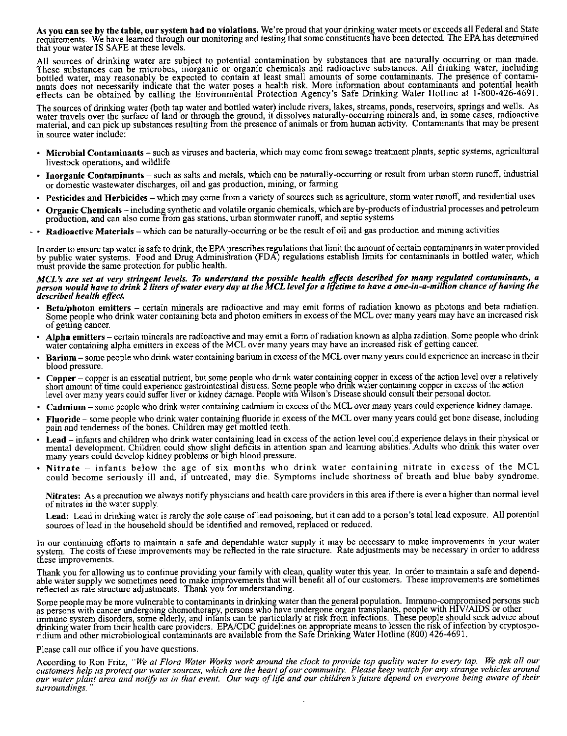As you can see by the table, our system had no violations. We're proud that your drinking water meets or exceeds all Federal and State requirements. We have learned through our monitoring and testing that some constituents have been detected. The EPA has determine that your water IS SAFE at these levels.

All sources of drinking water are subject to potential contamination by substances that are naturally occurring or man made. These substances can be microbes, inorganic or organic chemicals and radioactive substances. All drinking water, including bottled water, may reasonably be expected to contain at least small amounts of some contaminants. The presence of contami nants does not necessarily indicate that the water poses a health risk. More information about contaminants and potential health effects can be obtained by calling the Environmental Protection Agency's Safe Drinking Water Hotline at 1-800-426-4691.

The sources of drinking water (both tap water and bottled water) include rivers, lakes, streams, ponds, reservoirs, springs and wells. As water travels over the surface of land or through the ground, it dissolves naturally-occurring minerals and, in some cases, radioactive material, and can pick up substances resulting from the presence of animals or from human activity. Contaminants that may be present in source water include:

- Microbial Contaminants such as viruses and bacteria, which may come from sewage treatment plants, septic systems, agricultural livestock operations, and wildlife-
- Inorganic Contaminants such as salts and metals, which can be naturally-occurring or result from urban storm runoff, industrial or domestic wastewater discharges, oil and gas production, mining, or farming
- Pesticides and Herbicides which may come from a variety of sources such as agriculture, storm water runoff, and residential uses
- Organic Chemicals including synthetic and volatile organic chemicals, which are by-products of industrial processes and petroleum production, and can also come from gas stations, urban stormwater runoff, and septic systems
- Radioactive Materials which can be naturaJly-occurring or be the result of oil and gas production and mining activities

In order to ensure tap water is safe to drink, the EPA prescribes regulations that limit the amount of certain contaminants in water provided by public water systems. Food and Drug Administration (FDA) regulations establish limits for contaminants in bottled water, which must provide the same protection for public health.

#### MCL's are set at very stringent levels. To understand the possible health effects described for many regulated contaminants, a person would have to drink 2 liters of water every day at the MCL level for a lifetime to have a one-in-a-million chance of having the *described health effect*

- Beta/photon emitters certain minerals are radioactive and may emit forms of radiation known as photons and beta radiation. Some people who drink water containing beta and photon emitters in excess of the MCL over many years may have an increased risk of getting cancer.
- Alpha emitters certain minerals are radioactive and may emit a form of radiation known as alpha radiation. Some people who drink water containing alpha emitters in excess of the MCL over many years may have an increased risk of getting cancer.
- Barium some people who drink water containing barium in excess of the MCL over many years could experience an increase in their blood pressure.
- Copper copper is an essential nutrient, but some people who drink water containing copper in excess of the action level over a relatively short amount of time could experience gastrointestinal distress. Some peogle who drink water containing copper in excess of the action level over many years could suffer liver or kidney damage. People with Wilson's Disease should consult their personal doctor.
- Cadmium some people who drink water containing cadmium in excess of the MCL over many years could experience kidney damage.
- Fluoride some people who drink water containing fluoride in excess of the MCL over many years could get bone disease, including pain and tenderness of the bones. Children may get mottled teeth.
- Lead infants and children who drink water containing lead in excess of the action level could experience delays in their physical or mental development. Children could show slight defiCits in attention span and learning abilities. Adults who drink this water over many years could develop kidney problems or high blood pressure.
- Nitrate infants below the age of six months who drink water containing nitrate in excess of the MCL could become seriously ill and, if untreated, may die. Symptoms include shortness of breath and blue baby syndrome.

Nitrates: As a precaution we always notify physicians and health care providers in this area if there is ever a higher than normal level of nitrates in the water supply.

Lead: Lead in drinking water is rarely the sole cause of lead poisoning, but it can add to a person's total lead exposure. All potential sources of lead in the household should be identified and removed, replaced or reduced.

In our continuing efforts to maintain a safe and dependable water supply it may be necessary to make improvements in your water system. The costs of these improvements may be reflected in the rate structure. Rate adjustments may be necessary in order to address these improvements.

Thank you for allowing us to continue providing your family with clean, quality water this year. In order to maintain a safe and dependable water supply we sometimes need to make improvements that will benefit all of our customers. These improvements are sometimes reflected as rate structure adjustments. Thank you for understanding.

Some people may be more vulnerable to contaminants in drinking water than the general population. Immuno-compromised persons such as persons with cancer undergoing chemotherapy, persons who have undergone organ transplants, people with HIV/AIDS or other immune system disorders, some elderly, and infants can be particularly at risk from infections. These people should seek advice abou drinking water from their health care providers. EPA/CDC guidelines on appropriate means to lessen the risk of infection by cryptosporidium and other microbiological contaminants arc available from the Safe Drinking Water Hotline (800) 426-469

#### Please call our office if you have questions.

According to Ron Fritz, "We at Flora Water Works work around the clock to provide top quality water to every tap. We ask all our customers help us protect our water sources, which are the heart of our community. Please keep watch for any strange vehicles around our water plant area and notify us in that event. Our way of life and our children's future depend on everyone being aware of their  $surroundings.$